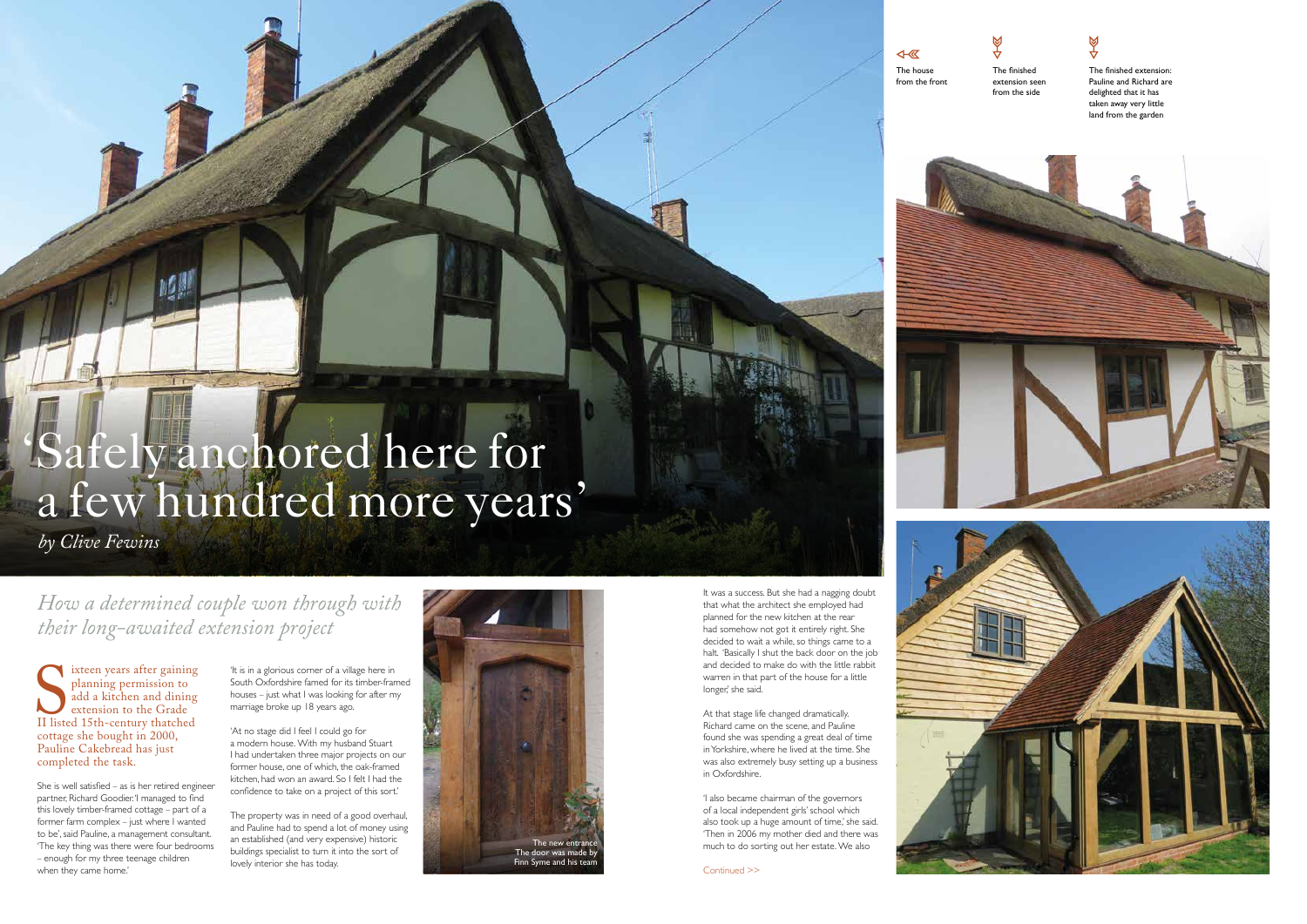$\overline{\mathbb{R}}$ The house from the front





The finished extension: Pauline and Richard are delighted that it has taken away very little land from the garden





# 'Safely anchored here for a few hundred more years'

II liste ixteen years after gaining planning permission to add a kitchen and dining extension to the Grade II listed 15th-century thatched cottage she bought in 2000, Pauline Cakebread has just completed the task.

 *by Clive Fewins*

She is well satisfied – as is her retired engineer partner, Richard Goodier. 'I managed to find this lovely timber-framed cottage – part of a former farm complex – just where I wanted to be', said Pauline, a management consultant. 'The key thing was there were four bedrooms – enough for my three teenage children when they came home.'

'It is in a glorious corner of a village here in South Oxfordshire famed for its timber-framed houses – just what I was looking for after my marriage broke up 18 years ago.

> 'I also became chairman of the governors of a local independent girls' school which also took up a huge amount of time,' she said. 'Then in 2006 my mother died and there was The new entrance much to do sorting out her estate. We also

'At no stage did I feel I could go for a modern house. With my husband Stuart I had undertaken three major projects on our former house, one of which, the oak-framed kitchen, had won an award. So I felt I had the confidence to take on a project of this sort.'

The property was in need of a good overhaul, and Pauline had to spend a lot of money using an established (and very expensive) historic buildings specialist to turn it into the sort of

*How a determined couple won through with their long-awaited extension project*

It was a success. But she had a nagging doubt that what the architect she employed had planned for the new kitchen at the rear had somehow not got it entirely right. She decided to wait a while, so things came to a halt. 'Basically I shut the back door on the job and decided to make do with the little rabbit warren in that part of the house for a little longer,' she said.



At that stage life changed dramatically. Richard came on the scene, and Pauline found she was spending a great deal of time in Yorkshire, where he lived at the time. She was also extremely busy setting up a business in Oxfordshire.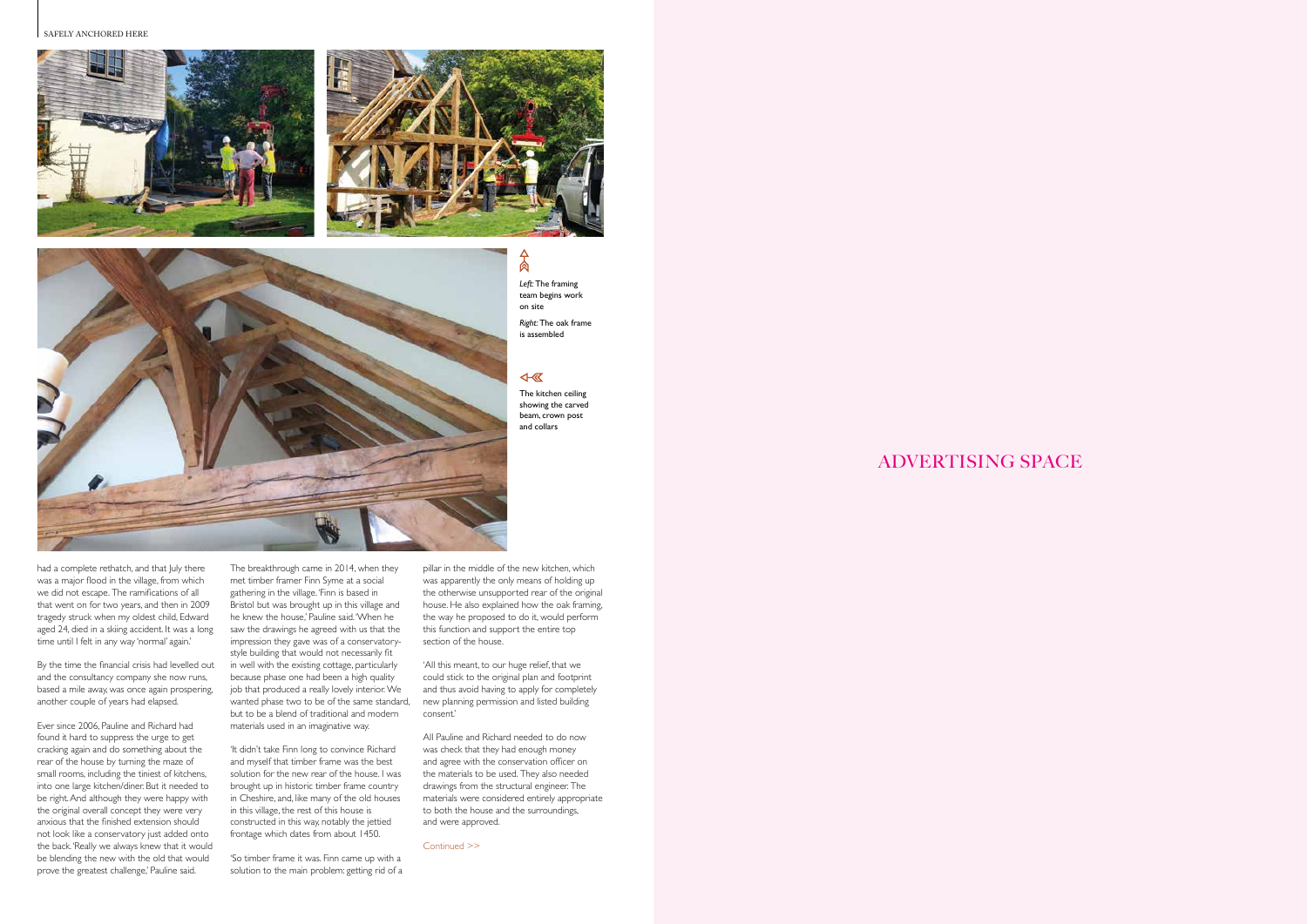pillar in the middle of the new kitchen, which was apparently the only means of holding up the otherwise unsupported rear of the original house. He also explained how the oak framing, the way he proposed to do it, would perform this function and support the entire top section of the house.

'All this meant, to our huge relief, that we could stick to the original plan and footprint and thus avoid having to apply for completely consent.'

All Pauline and Richard needed to do now was check that they had enough money and agree with the conservation officer on the materials to be used. They also needed drawings from the structural engineer. The materials were considered entirely appropriate to both the house and the surroundings, and were approved.

SAFELY ANCHORED HERE







ADVERTISING SPACE

#### Continued >>

*Left:* The framing team begins work on site

*Right:* The oak frame is assembled

#### 4 5

Δ 肏

had a complete rethatch, and that July there was a major flood in the village, from which we did not escape. The ramifications of all that went on for two years, and then in 2009 tragedy struck when my oldest child, Edward aged 24, died in a skiing accident. It was a long time until I felt in any way 'normal' again.'

wanted phase two to be of the same standard, new planning permission and listed building The breakthrough came in 2014, when they met timber framer Finn Syme at a social gathering in the village. 'Finn is based in Bristol but was brought up in this village and he knew the house,' Pauline said. 'When he saw the drawings he agreed with us that the impression they gave was of a conservatorystyle building that would not necessarily fit in well with the existing cottage, particularly because phase one had been a high quality job that produced a really lovely interior. We but to be a blend of traditional and modern materials used in an imaginative way.

By the time the financial crisis had levelled out and the consultancy company she now runs, based a mile away, was once again prospering, another couple of years had elapsed.

Ever since 2006, Pauline and Richard had found it hard to suppress the urge to get cracking again and do something about the rear of the house by turning the maze of small rooms, including the tiniest of kitchens, into one large kitchen/diner. But it needed to be right. And although they were happy with the original overall concept they were very anxious that the finished extension should not look like a conservatory just added onto the back. 'Really we always knew that it would be blending the new with the old that would prove the greatest challenge,' Pauline said.

'It didn't take Finn long to convince Richard and myself that timber frame was the best solution for the new rear of the house. I was brought up in historic timber frame country in Cheshire, and, like many of the old houses in this village, the rest of this house is constructed in this way, notably the jettied frontage which dates from about 1450.

'So timber frame it was. Finn came up with a solution to the main problem: getting rid of a The kitchen ceiling showing the carved beam, crown post and collars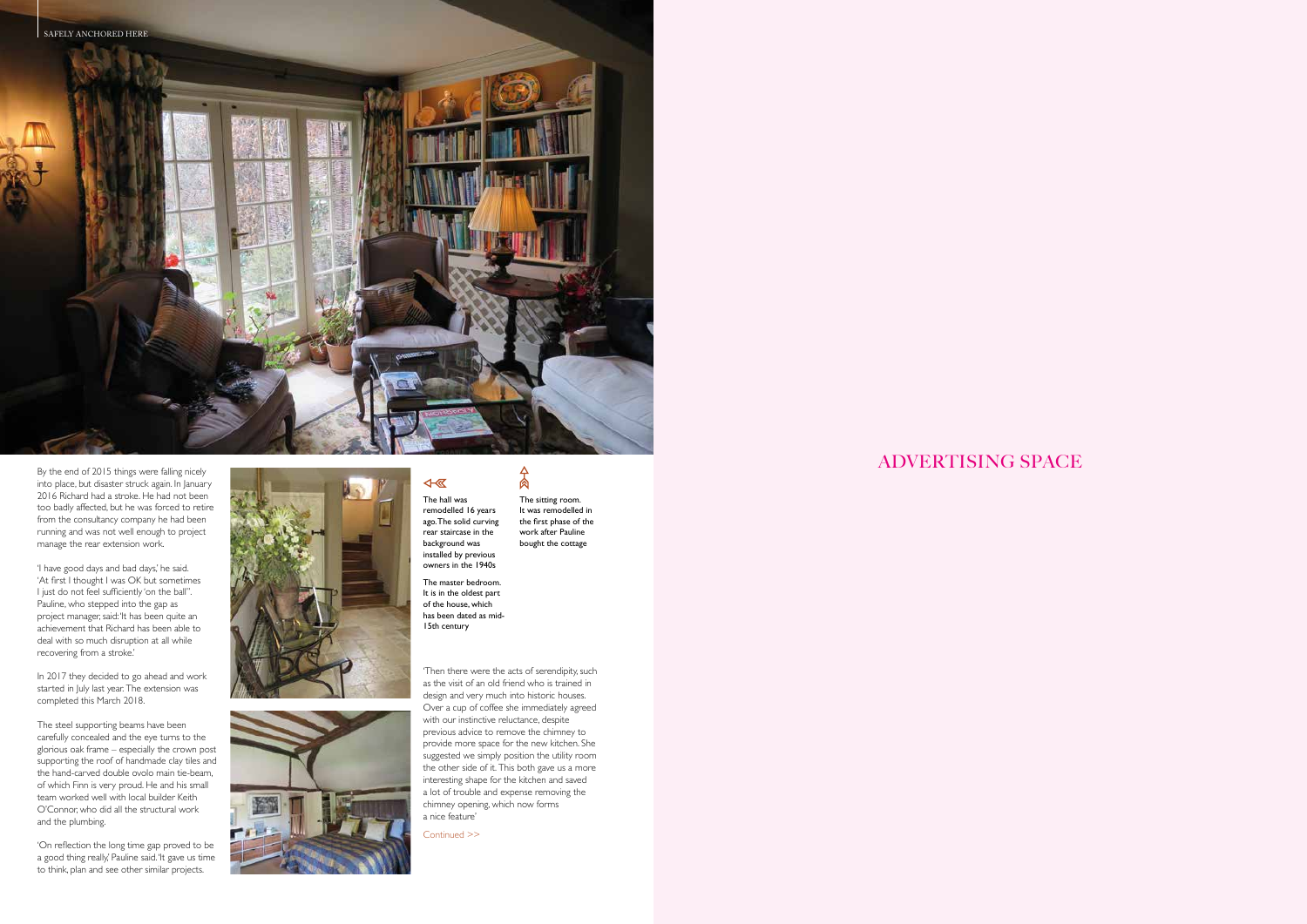

## ADVERTISING SPACE

Continued >>

By the end of 2015 things were falling nicely into place, but disaster struck again. In January 2016 Richard had a stroke. He had not been too badly affected, but he was forced to retire from the consultancy company he had been running and was not well enough to project manage the rear extension work.

'I have good days and bad days,' he said. 'At first I thought I was OK but sometimes I just do not feel sufficiently 'on the ball''. Pauline, who stepped into the gap as project manager, said: 'It has been quite an achievement that Richard has been able to deal with so much disruption at all while recovering from a stroke.'

In 2017 they decided to go ahead and work started in July last year. The extension was completed this March 2018.

 $\overline{48}$ The hall was remodelled 16 years ago. The solid curving rear staircase in the background was installed by previous owners in the 1940s

The steel supporting beams have been carefully concealed and the eye turns to the glorious oak frame – especially the crown post supporting the roof of handmade clay tiles and the hand-carved double ovolo main tie-beam, of which Finn is very proud. He and his small team worked well with local builder Keith O'Connor, who did all the structural work and the plumbing.

 $\frac{1}{2}$ The sitting room. It was remodelled in the first phase of the work after Pauline bought the cottage

'On reflection the long time gap proved to be a good thing really,' Pauline said. 'It gave us time to think, plan and see other similar projects.





'Then there were the acts of serendipity, such as the visit of an old friend who is trained in design and very much into historic houses. Over a cup of coffee she immediately agreed with our instinctive reluctance, despite previous advice to remove the chimney to provide more space for the new kitchen. She suggested we simply position the utility room the other side of it. This both gave us a more interesting shape for the kitchen and saved a lot of trouble and expense removing the chimney opening, which now forms a nice feature'

The master bedroom. It is in the oldest part of the house, which has been dated as mid-15th century